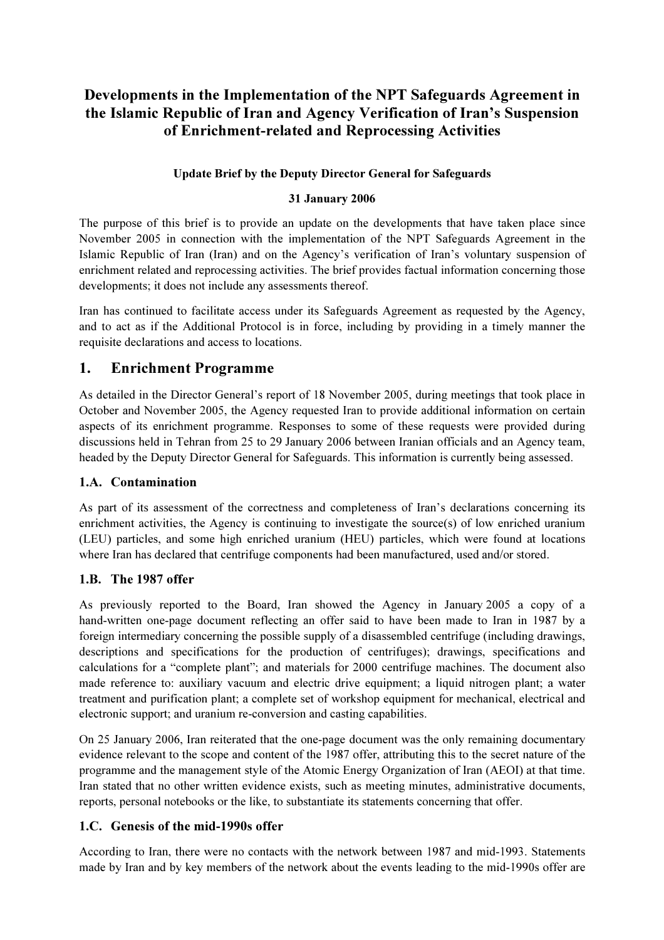# Developments in the Implementation of the NPT Safeguards Agreement in the Islamic Republic of Iran and Agency Verification of Iran's Suspension of Enrichment-related and Reprocessing Activities

## Update Brief by the Deputy Director General for Safeguards

## 31 January 2006

The purpose of this brief is to provide an update on the developments that have taken place since November 2005 in connection with the implementation of the NPT Safeguards Agreement in the Islamic Republic of Iran (Iran) and on the Agency's verification of Iran's voluntary suspension of enrichment related and reprocessing activities. The brief provides factual information concerning those developments; it does not include any assessments thereof.

Iran has continued to facilitate access under its Safeguards Agreement as requested by the Agency, and to act as if the Additional Protocol is in force, including by providing in a timely manner the requisite declarations and access to locations.

## 1. Enrichment Programme

As detailed in the Director General's report of 18 November 2005, during meetings that took place in October and November 2005, the Agency requested Iran to provide additional information on certain aspects of its enrichment programme. Responses to some of these requests were provided during discussions held in Tehran from 25 to 29 January 2006 between Iranian officials and an Agency team, headed by the Deputy Director General for Safeguards. This information is currently being assessed.

## 1.A. Contamination

As part of its assessment of the correctness and completeness of Iran's declarations concerning its enrichment activities, the Agency is continuing to investigate the source(s) of low enriched uranium (LEU) particles, and some high enriched uranium (HEU) particles, which were found at locations where Iran has declared that centrifuge components had been manufactured, used and/or stored.

## 1.B. The 1987 offer

As previously reported to the Board, Iran showed the Agency in January 2005 a copy of a hand-written one-page document reflecting an offer said to have been made to Iran in 1987 by a foreign intermediary concerning the possible supply of a disassembled centrifuge (including drawings, descriptions and specifications for the production of centrifuges); drawings, specifications and calculations for a "complete plant"; and materials for 2000 centrifuge machines. The document also made reference to: auxiliary vacuum and electric drive equipment; a liquid nitrogen plant; a water treatment and purification plant; a complete set of workshop equipment for mechanical, electrical and electronic support; and uranium re-conversion and casting capabilities.

On 25 January 2006, Iran reiterated that the one-page document was the only remaining documentary evidence relevant to the scope and content of the 1987 offer, attributing this to the secret nature of the programme and the management style of the Atomic Energy Organization of Iran (AEOI) at that time. Iran stated that no other written evidence exists, such as meeting minutes, administrative documents, reports, personal notebooks or the like, to substantiate its statements concerning that offer.

## 1.C. Genesis of the mid-1990s offer

According to Iran, there were no contacts with the network between 1987 and mid-1993. Statements made by Iran and by key members of the network about the events leading to the mid-1990s offer are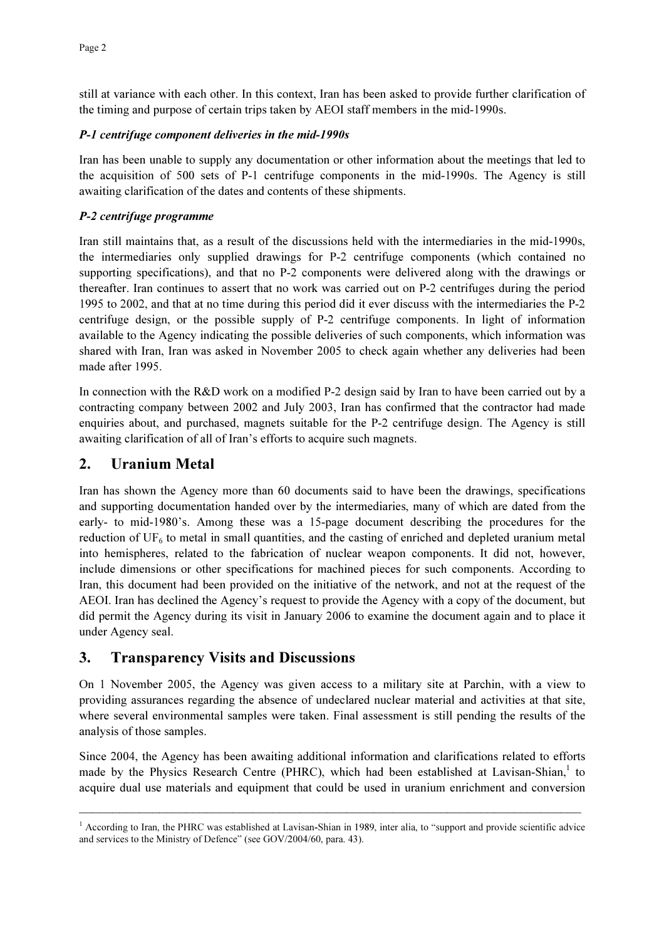still at variance with each other. In this context, Iran has been asked to provide further clarification of the timing and purpose of certain trips taken by AEOI staff members in the mid-1990s.

#### P-1 centrifuge component deliveries in the mid-1990s

Iran has been unable to supply any documentation or other information about the meetings that led to the acquisition of 500 sets of P-1 centrifuge components in the mid-1990s. The Agency is still awaiting clarification of the dates and contents of these shipments.

## P-2 centrifuge programme

Iran still maintains that, as a result of the discussions held with the intermediaries in the mid-1990s, the intermediaries only supplied drawings for P-2 centrifuge components (which contained no supporting specifications), and that no P-2 components were delivered along with the drawings or thereafter. Iran continues to assert that no work was carried out on P-2 centrifuges during the period 1995 to 2002, and that at no time during this period did it ever discuss with the intermediaries the P-2 centrifuge design, or the possible supply of P-2 centrifuge components. In light of information available to the Agency indicating the possible deliveries of such components, which information was shared with Iran, Iran was asked in November 2005 to check again whether any deliveries had been made after 1995.

In connection with the R&D work on a modified P-2 design said by Iran to have been carried out by a contracting company between 2002 and July 2003, Iran has confirmed that the contractor had made enquiries about, and purchased, magnets suitable for the P-2 centrifuge design. The Agency is still awaiting clarification of all of Iran's efforts to acquire such magnets.

## 2. Uranium Metal

Iran has shown the Agency more than 60 documents said to have been the drawings, specifications and supporting documentation handed over by the intermediaries, many of which are dated from the early- to mid-1980's. Among these was a 15-page document describing the procedures for the reduction of  $UF<sub>6</sub>$  to metal in small quantities, and the casting of enriched and depleted uranium metal into hemispheres, related to the fabrication of nuclear weapon components. It did not, however, include dimensions or other specifications for machined pieces for such components. According to Iran, this document had been provided on the initiative of the network, and not at the request of the AEOI. Iran has declined the Agency's request to provide the Agency with a copy of the document, but did permit the Agency during its visit in January 2006 to examine the document again and to place it under Agency seal.

## 3. Transparency Visits and Discussions

On 1 November 2005, the Agency was given access to a military site at Parchin, with a view to providing assurances regarding the absence of undeclared nuclear material and activities at that site, where several environmental samples were taken. Final assessment is still pending the results of the analysis of those samples.

Since 2004, the Agency has been awaiting additional information and clarifications related to efforts made by the Physics Research Centre (PHRC), which had been established at Lavisan-Shian,<sup>1</sup> to acquire dual use materials and equipment that could be used in uranium enrichment and conversion

<sup>1&</sup>lt;br>According to Iran, the PHRC was established at Lavisan-Shian in 1989, inter alia, to "support and provide scientific advice and services to the Ministry of Defence" (see GOV/2004/60, para. 43).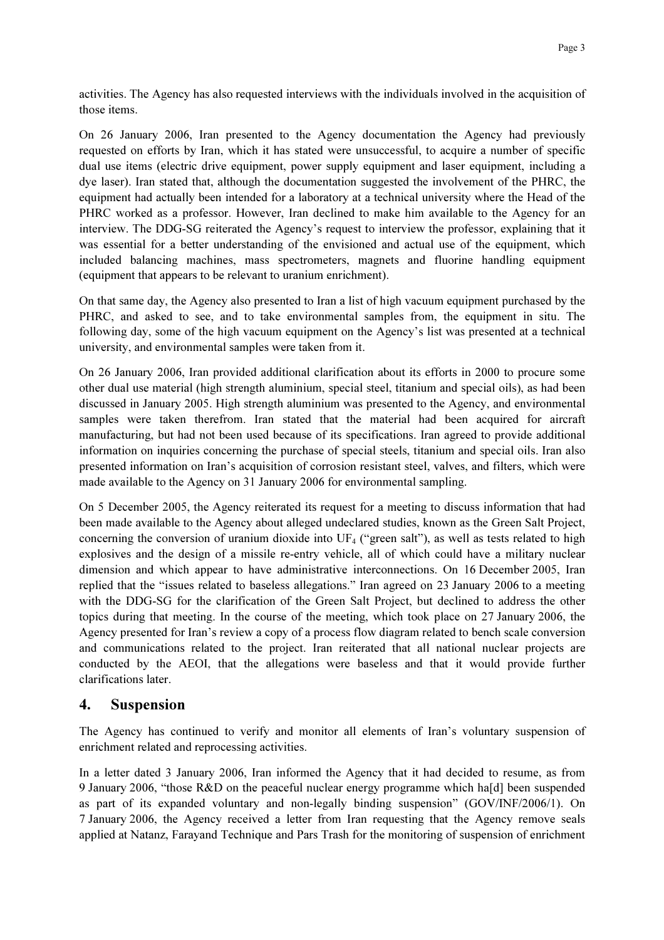activities. The Agency has also requested interviews with the individuals involved in the acquisition of those items.

On 26 January 2006, Iran presented to the Agency documentation the Agency had previously requested on efforts by Iran, which it has stated were unsuccessful, to acquire a number of specific dual use items (electric drive equipment, power supply equipment and laser equipment, including a dye laser). Iran stated that, although the documentation suggested the involvement of the PHRC, the equipment had actually been intended for a laboratory at a technical university where the Head of the PHRC worked as a professor. However, Iran declined to make him available to the Agency for an interview. The DDG-SG reiterated the Agency's request to interview the professor, explaining that it was essential for a better understanding of the envisioned and actual use of the equipment, which included balancing machines, mass spectrometers, magnets and fluorine handling equipment (equipment that appears to be relevant to uranium enrichment).

On that same day, the Agency also presented to Iran a list of high vacuum equipment purchased by the PHRC, and asked to see, and to take environmental samples from, the equipment in situ. The following day, some of the high vacuum equipment on the Agency's list was presented at a technical university, and environmental samples were taken from it.

On 26 January 2006, Iran provided additional clarification about its efforts in 2000 to procure some other dual use material (high strength aluminium, special steel, titanium and special oils), as had been discussed in January 2005. High strength aluminium was presented to the Agency, and environmental samples were taken therefrom. Iran stated that the material had been acquired for aircraft manufacturing, but had not been used because of its specifications. Iran agreed to provide additional information on inquiries concerning the purchase of special steels, titanium and special oils. Iran also presented information on Iran's acquisition of corrosion resistant steel, valves, and filters, which were made available to the Agency on 31 January 2006 for environmental sampling.

On 5 December 2005, the Agency reiterated its request for a meeting to discuss information that had been made available to the Agency about alleged undeclared studies, known as the Green Salt Project, concerning the conversion of uranium dioxide into  $UF_4$  ("green salt"), as well as tests related to high explosives and the design of a missile re-entry vehicle, all of which could have a military nuclear dimension and which appear to have administrative interconnections. On 16 December 2005, Iran replied that the "issues related to baseless allegations." Iran agreed on 23 January 2006 to a meeting with the DDG-SG for the clarification of the Green Salt Project, but declined to address the other topics during that meeting. In the course of the meeting, which took place on 27 January 2006, the Agency presented for Iran's review a copy of a process flow diagram related to bench scale conversion and communications related to the project. Iran reiterated that all national nuclear projects are conducted by the AEOI, that the allegations were baseless and that it would provide further clarifications later.

## 4. Suspension

The Agency has continued to verify and monitor all elements of Iran's voluntary suspension of enrichment related and reprocessing activities.

In a letter dated 3 January 2006, Iran informed the Agency that it had decided to resume, as from 9 January 2006, "those R&D on the peaceful nuclear energy programme which ha[d] been suspended as part of its expanded voluntary and non-legally binding suspension" (GOV/INF/2006/1). On 7 January 2006, the Agency received a letter from Iran requesting that the Agency remove seals applied at Natanz, Farayand Technique and Pars Trash for the monitoring of suspension of enrichment